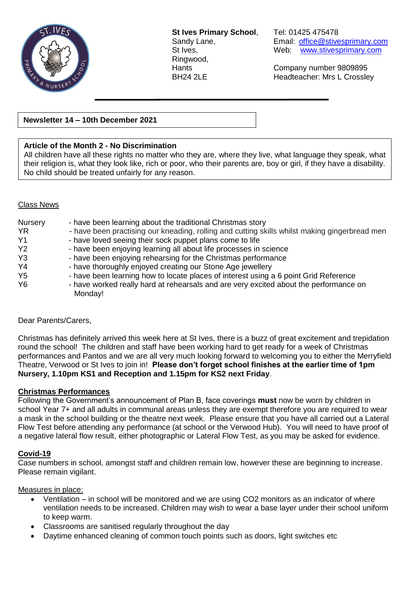

**St Ives Primary School**, Tel: 01425 475478 Ringwood,

Sandy Lane, **Email:** [office@stivesprimary.com](mailto:office@stivesprimary.com) St Ives, Web: [www.stivesprimary.com](http://www.stives.dorset.sch.uk/)

Hants Company number 9809895 BH24 2LE Headteacher: Mrs L Crossley

**Newsletter 14 – 10th December 2021**

## **Article of the Month 2 - No Discrimination**

All children have all these rights no matter who they are, where they live, what language they speak, what their religion is, what they look like, rich or poor, who their parents are, boy or girl, if they have a disability. No child should be treated unfairly for any reason.

## Class News

| Nursery<br><b>YR</b><br>Y <sub>1</sub><br>Y <sub>2</sub> | - have been learning about the traditional Christmas story<br>- have been practising our kneading, rolling and cutting skills whilst making gingerbread men<br>- have loved seeing their sock puppet plans come to life<br>- have been enjoying learning all about life processes in science |  |
|----------------------------------------------------------|----------------------------------------------------------------------------------------------------------------------------------------------------------------------------------------------------------------------------------------------------------------------------------------------|--|
| Y <sub>3</sub>                                           | - have been enjoying rehearsing for the Christmas performance                                                                                                                                                                                                                                |  |
| Y <sub>4</sub>                                           | - have thoroughly enjoyed creating our Stone Age jewellery                                                                                                                                                                                                                                   |  |
| Y <sub>5</sub>                                           | - have been learning how to locate places of interest using a 6 point Grid Reference                                                                                                                                                                                                         |  |
| <b>Y6</b>                                                | - have worked really hard at rehearsals and are very excited about the performance on                                                                                                                                                                                                        |  |
|                                                          | Monday!                                                                                                                                                                                                                                                                                      |  |

## Dear Parents/Carers,

Christmas has definitely arrived this week here at St Ives, there is a buzz of great excitement and trepidation round the school! The children and staff have been working hard to get ready for a week of Christmas performances and Pantos and we are all very much looking forward to welcoming you to either the Merryfield Theatre, Verwood or St Ives to join in! **Please don't forget school finishes at the earlier time of 1pm Nursery, 1.10pm KS1 and Reception and 1.15pm for KS2 next Friday**.

## **Christmas Performances**

Following the Government's announcement of Plan B, face coverings **must** now be worn by children in school Year 7+ and all adults in communal areas unless they are exempt therefore you are required to wear a mask in the school building or the theatre next week. Please ensure that you have all carried out a Lateral Flow Test before attending any performance (at school or the Verwood Hub). You will need to have proof of a negative lateral flow result, either photographic or Lateral Flow Test, as you may be asked for evidence.

## **Covid-19**

Case numbers in school, amongst staff and children remain low, however these are beginning to increase. Please remain vigilant.

## Measures in place:

- Ventilation in school will be monitored and we are using CO2 monitors as an indicator of where ventilation needs to be increased. Children may wish to wear a base layer under their school uniform to keep warm.
- Classrooms are sanitised regularly throughout the day
- Daytime enhanced cleaning of common touch points such as doors, light switches etc